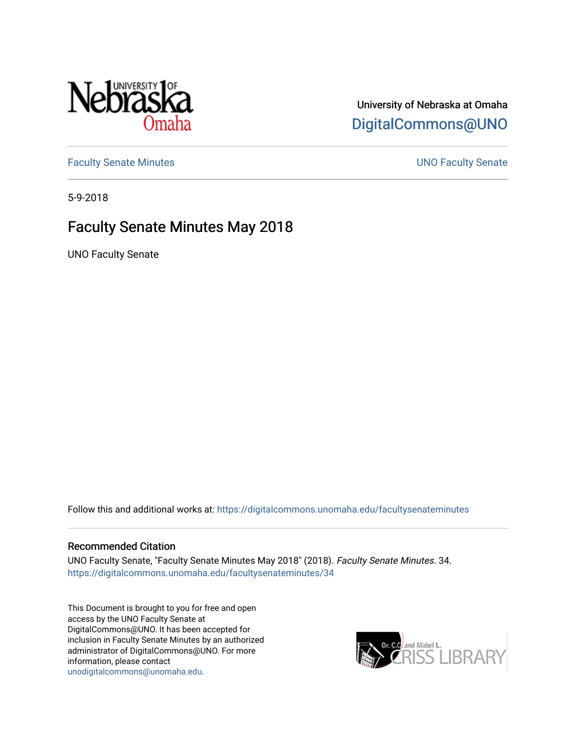

# University of Nebraska at Omaha [DigitalCommons@UNO](https://digitalcommons.unomaha.edu/)

[Faculty Senate Minutes](https://digitalcommons.unomaha.edu/facultysenateminutes) **Example 2018** UNO Faculty Senate

5-9-2018

# Faculty Senate Minutes May 2018

UNO Faculty Senate

Follow this and additional works at: [https://digitalcommons.unomaha.edu/facultysenateminutes](https://digitalcommons.unomaha.edu/facultysenateminutes?utm_source=digitalcommons.unomaha.edu%2Ffacultysenateminutes%2F34&utm_medium=PDF&utm_campaign=PDFCoverPages) 

#### Recommended Citation

UNO Faculty Senate, "Faculty Senate Minutes May 2018" (2018). Faculty Senate Minutes. 34. [https://digitalcommons.unomaha.edu/facultysenateminutes/34](https://digitalcommons.unomaha.edu/facultysenateminutes/34?utm_source=digitalcommons.unomaha.edu%2Ffacultysenateminutes%2F34&utm_medium=PDF&utm_campaign=PDFCoverPages) 

This Document is brought to you for free and open access by the UNO Faculty Senate at DigitalCommons@UNO. It has been accepted for inclusion in Faculty Senate Minutes by an authorized administrator of DigitalCommons@UNO. For more information, please contact [unodigitalcommons@unomaha.edu.](mailto:unodigitalcommons@unomaha.edu)

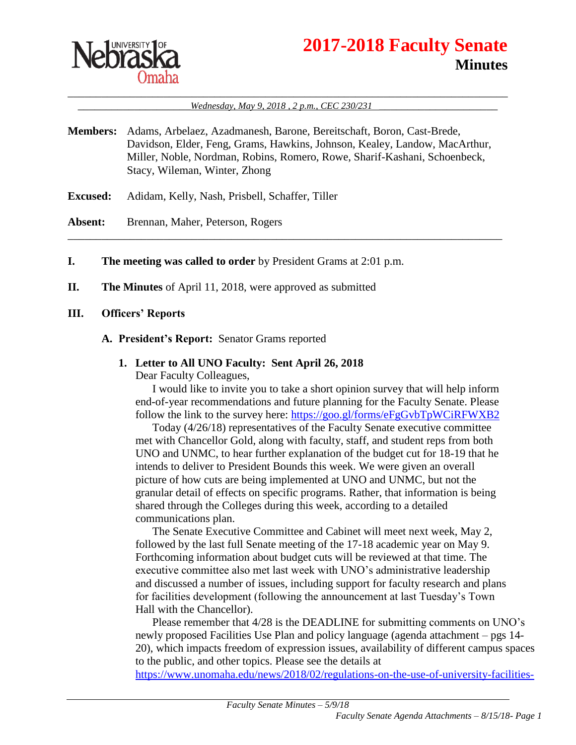

# **2017-2018 Faculty Senate Minutes**

\_\_\_\_\_\_\_\_\_\_\_\_\_\_\_\_\_\_\_\_\_\_\_\_\_\_\_\_\_\_\_\_\_\_\_\_\_\_\_\_\_\_\_\_\_\_\_\_\_\_\_\_\_\_\_\_\_\_\_\_\_\_\_\_\_\_\_\_\_\_\_\_\_\_\_\_\_\_ \_\_\_\_\_\_\_\_\_\_\_\_\_\_\_\_\_\_\_\_*Wednesday, May 9, 2018 , 2 p.m., CEC 230/231* \_\_\_\_\_\_\_\_\_\_\_\_\_\_\_\_\_\_\_\_\_

**Members:** Adams, Arbelaez, Azadmanesh, Barone, Bereitschaft, Boron, Cast-Brede, Davidson, Elder, Feng, Grams, Hawkins, Johnson, Kealey, Landow, MacArthur, Miller, Noble, Nordman, Robins, Romero, Rowe, Sharif-Kashani, Schoenbeck, Stacy, Wileman, Winter, Zhong

\_\_\_\_\_\_\_\_\_\_\_\_\_\_\_\_\_\_\_\_\_\_\_\_\_\_\_\_\_\_\_\_\_\_\_\_\_\_\_\_\_\_\_\_\_\_\_\_\_\_\_\_\_\_\_\_\_\_\_\_\_\_\_\_\_\_\_\_\_\_\_\_\_\_\_\_\_

- **Excused:** Adidam, Kelly, Nash, Prisbell, Schaffer, Tiller
- Absent: Brennan, Maher, Peterson, Rogers
- **I. The meeting was called to order** by President Grams at 2:01 p.m.
- **II. The Minutes** of April 11, 2018, were approved as submitted
- **III. Officers' Reports**
	- **A. President's Report:** Senator Grams reported
		- **1. Letter to All UNO Faculty: Sent April 26, 2018**

Dear Faculty Colleagues,

I would like to invite you to take a short opinion survey that will help inform end-of-year recommendations and future planning for the Faculty Senate. Please follow the link to the survey here:<https://goo.gl/forms/eFgGvbTpWCiRFWXB2>

Today (4/26/18) representatives of the Faculty Senate executive committee met with Chancellor Gold, along with faculty, staff, and student reps from both UNO and UNMC, to hear further explanation of the budget cut for 18-19 that he intends to deliver to President Bounds this week. We were given an overall picture of how cuts are being implemented at UNO and UNMC, but not the granular detail of effects on specific programs. Rather, that information is being shared through the Colleges during this week, according to a detailed communications plan.

The Senate Executive Committee and Cabinet will meet next week, May 2, followed by the last full Senate meeting of the 17-18 academic year on May 9. Forthcoming information about budget cuts will be reviewed at that time. The executive committee also met last week with UNO's administrative leadership and discussed a number of issues, including support for faculty research and plans for facilities development (following the announcement at last Tuesday's Town Hall with the Chancellor).

Please remember that 4/28 is the DEADLINE for submitting comments on UNO's newly proposed Facilities Use Plan and policy language (agenda attachment – pgs 14- 20), which impacts freedom of expression issues, availability of different campus spaces to the public, and other topics. Please see the details at

[https://www.unomaha.edu/news/2018/02/regulations-on-the-use-of-university-facilities-](https://www.unomaha.edu/news/2018/02/regulations-on-the-use-of-university-facilities-and-grounds.php)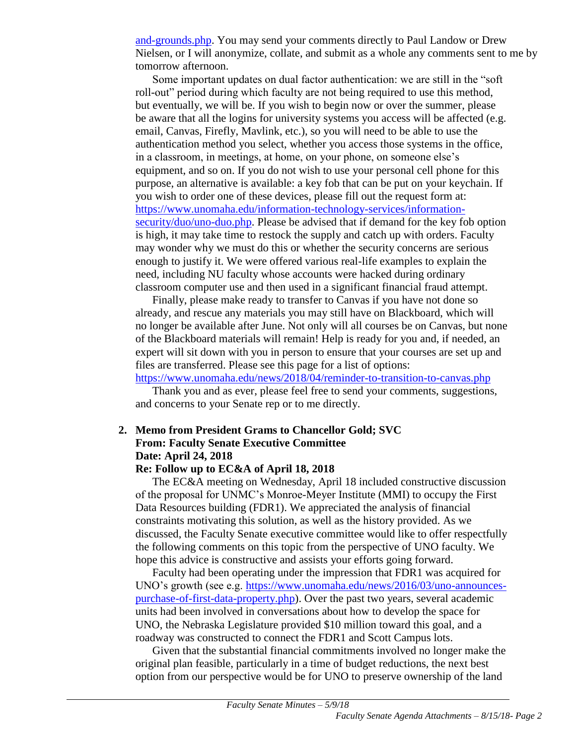[and-grounds.php.](https://www.unomaha.edu/news/2018/02/regulations-on-the-use-of-university-facilities-and-grounds.php) You may send your comments directly to Paul Landow or Drew Nielsen, or I will anonymize, collate, and submit as a whole any comments sent to me by tomorrow afternoon.

Some important updates on dual factor authentication: we are still in the "soft roll-out" period during which faculty are not being required to use this method, but eventually, we will be. If you wish to begin now or over the summer, please be aware that all the logins for university systems you access will be affected (e.g. email, Canvas, Firefly, Mavlink, etc.), so you will need to be able to use the authentication method you select, whether you access those systems in the office, in a classroom, in meetings, at home, on your phone, on someone else's equipment, and so on. If you do not wish to use your personal cell phone for this purpose, an alternative is available: a key fob that can be put on your keychain. If you wish to order one of these devices, please fill out the request form at: [https://www.unomaha.edu/information-technology-services/information](https://www.unomaha.edu/information-technology-services/information-security/duo/uno-duo.php)[security/duo/uno-duo.php.](https://www.unomaha.edu/information-technology-services/information-security/duo/uno-duo.php) Please be advised that if demand for the key fob option is high, it may take time to restock the supply and catch up with orders. Faculty may wonder why we must do this or whether the security concerns are serious enough to justify it. We were offered various real-life examples to explain the need, including NU faculty whose accounts were hacked during ordinary classroom computer use and then used in a significant financial fraud attempt.

Finally, please make ready to transfer to Canvas if you have not done so already, and rescue any materials you may still have on Blackboard, which will no longer be available after June. Not only will all courses be on Canvas, but none of the Blackboard materials will remain! Help is ready for you and, if needed, an expert will sit down with you in person to ensure that your courses are set up and files are transferred. Please see this page for a list of options:

<https://www.unomaha.edu/news/2018/04/reminder-to-transition-to-canvas.php>

Thank you and as ever, please feel free to send your comments, suggestions, and concerns to your Senate rep or to me directly.

# **2. Memo from President Grams to Chancellor Gold; SVC From: Faculty Senate Executive Committee Date: April 24, 2018**

#### **Re: Follow up to EC&A of April 18, 2018**

The EC&A meeting on Wednesday, April 18 included constructive discussion of the proposal for UNMC's Monroe-Meyer Institute (MMI) to occupy the First Data Resources building (FDR1). We appreciated the analysis of financial constraints motivating this solution, as well as the history provided. As we discussed, the Faculty Senate executive committee would like to offer respectfully the following comments on this topic from the perspective of UNO faculty. We hope this advice is constructive and assists your efforts going forward.

Faculty had been operating under the impression that FDR1 was acquired for UNO's growth (see e.g. [https://www.unomaha.edu/news/2016/03/uno-announces](https://www.unomaha.edu/news/2016/03/uno-announces-purchase-of-first-data-property.php)[purchase-of-first-data-property.php\)](https://www.unomaha.edu/news/2016/03/uno-announces-purchase-of-first-data-property.php). Over the past two years, several academic units had been involved in conversations about how to develop the space for UNO, the Nebraska Legislature provided \$10 million toward this goal, and a roadway was constructed to connect the FDR1 and Scott Campus lots.

Given that the substantial financial commitments involved no longer make the original plan feasible, particularly in a time of budget reductions, the next best option from our perspective would be for UNO to preserve ownership of the land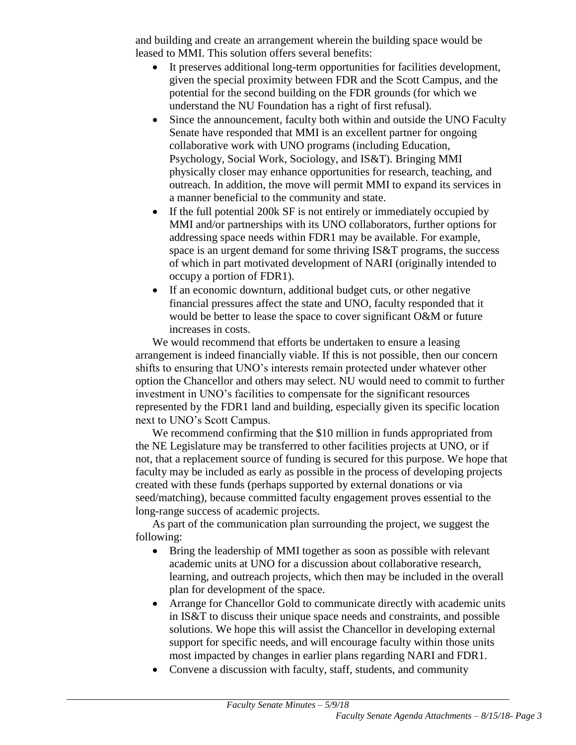and building and create an arrangement wherein the building space would be leased to MMI. This solution offers several benefits:

- It preserves additional long-term opportunities for facilities development, given the special proximity between FDR and the Scott Campus, and the potential for the second building on the FDR grounds (for which we understand the NU Foundation has a right of first refusal).
- Since the announcement, faculty both within and outside the UNO Faculty Senate have responded that MMI is an excellent partner for ongoing collaborative work with UNO programs (including Education, Psychology, Social Work, Sociology, and IS&T). Bringing MMI physically closer may enhance opportunities for research, teaching, and outreach. In addition, the move will permit MMI to expand its services in a manner beneficial to the community and state.
- If the full potential 200k SF is not entirely or immediately occupied by MMI and/or partnerships with its UNO collaborators, further options for addressing space needs within FDR1 may be available. For example, space is an urgent demand for some thriving IS&T programs, the success of which in part motivated development of NARI (originally intended to occupy a portion of FDR1).
- If an economic downturn, additional budget cuts, or other negative financial pressures affect the state and UNO, faculty responded that it would be better to lease the space to cover significant O&M or future increases in costs.

We would recommend that efforts be undertaken to ensure a leasing arrangement is indeed financially viable. If this is not possible, then our concern shifts to ensuring that UNO's interests remain protected under whatever other option the Chancellor and others may select. NU would need to commit to further investment in UNO's facilities to compensate for the significant resources represented by the FDR1 land and building, especially given its specific location next to UNO's Scott Campus.

We recommend confirming that the \$10 million in funds appropriated from the NE Legislature may be transferred to other facilities projects at UNO, or if not, that a replacement source of funding is secured for this purpose. We hope that faculty may be included as early as possible in the process of developing projects created with these funds (perhaps supported by external donations or via seed/matching), because committed faculty engagement proves essential to the long-range success of academic projects.

As part of the communication plan surrounding the project, we suggest the following:

- Bring the leadership of MMI together as soon as possible with relevant academic units at UNO for a discussion about collaborative research, learning, and outreach projects, which then may be included in the overall plan for development of the space.
- Arrange for Chancellor Gold to communicate directly with academic units in IS&T to discuss their unique space needs and constraints, and possible solutions. We hope this will assist the Chancellor in developing external support for specific needs, and will encourage faculty within those units most impacted by changes in earlier plans regarding NARI and FDR1.
- Convene a discussion with faculty, staff, students, and community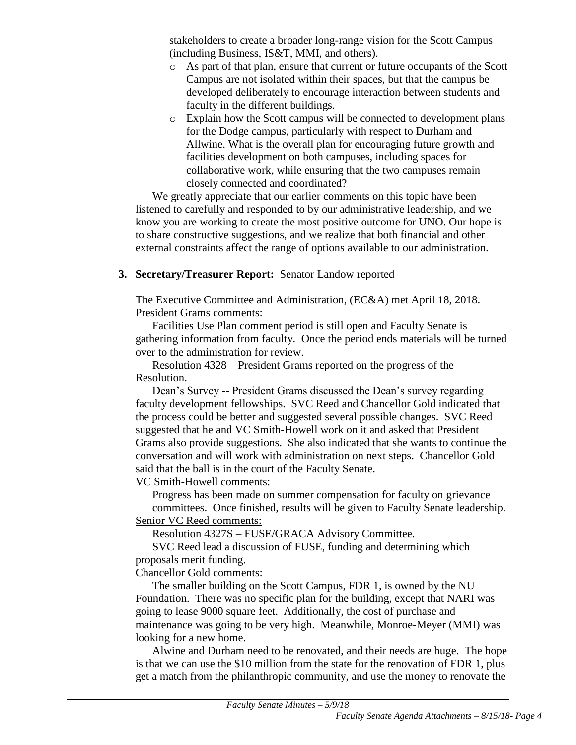stakeholders to create a broader long-range vision for the Scott Campus (including Business, IS&T, MMI, and others).

- o As part of that plan, ensure that current or future occupants of the Scott Campus are not isolated within their spaces, but that the campus be developed deliberately to encourage interaction between students and faculty in the different buildings.
- o Explain how the Scott campus will be connected to development plans for the Dodge campus, particularly with respect to Durham and Allwine. What is the overall plan for encouraging future growth and facilities development on both campuses, including spaces for collaborative work, while ensuring that the two campuses remain closely connected and coordinated?

We greatly appreciate that our earlier comments on this topic have been listened to carefully and responded to by our administrative leadership, and we know you are working to create the most positive outcome for UNO. Our hope is to share constructive suggestions, and we realize that both financial and other external constraints affect the range of options available to our administration.

# **3. Secretary/Treasurer Report:** Senator Landow reported

The Executive Committee and Administration, (EC&A) met April 18, 2018. President Grams comments:

Facilities Use Plan comment period is still open and Faculty Senate is gathering information from faculty. Once the period ends materials will be turned over to the administration for review.

Resolution 4328 – President Grams reported on the progress of the Resolution.

Dean's Survey -- President Grams discussed the Dean's survey regarding faculty development fellowships. SVC Reed and Chancellor Gold indicated that the process could be better and suggested several possible changes. SVC Reed suggested that he and VC Smith-Howell work on it and asked that President Grams also provide suggestions. She also indicated that she wants to continue the conversation and will work with administration on next steps. Chancellor Gold said that the ball is in the court of the Faculty Senate.

VC Smith-Howell comments:

Progress has been made on summer compensation for faculty on grievance committees. Once finished, results will be given to Faculty Senate leadership. Senior VC Reed comments:

Resolution 4327S – FUSE/GRACA Advisory Committee.

SVC Reed lead a discussion of FUSE, funding and determining which proposals merit funding.

Chancellor Gold comments:

The smaller building on the Scott Campus, FDR 1, is owned by the NU Foundation. There was no specific plan for the building, except that NARI was going to lease 9000 square feet. Additionally, the cost of purchase and maintenance was going to be very high. Meanwhile, Monroe-Meyer (MMI) was looking for a new home.

Alwine and Durham need to be renovated, and their needs are huge. The hope is that we can use the \$10 million from the state for the renovation of FDR 1, plus get a match from the philanthropic community, and use the money to renovate the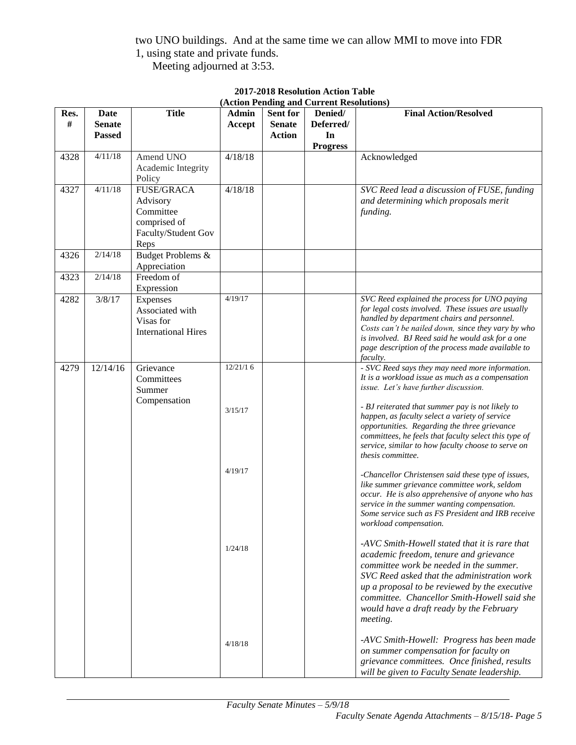two UNO buildings. And at the same time we can allow MMI to move into FDR 1, using state and private funds.

Meeting adjourned at 3:53.

|      |               |                            |          |                 | $(A\text{C}u\text{on})$ is ending and Current Resolutions) |                                                                                                  |
|------|---------------|----------------------------|----------|-----------------|------------------------------------------------------------|--------------------------------------------------------------------------------------------------|
| Res. | Date          | <b>Title</b>               | Admin    | <b>Sent for</b> | Denied/                                                    | <b>Final Action/Resolved</b>                                                                     |
| #    | <b>Senate</b> |                            | Accept   | <b>Senate</b>   | Deferred/                                                  |                                                                                                  |
|      | <b>Passed</b> |                            |          | <b>Action</b>   | In                                                         |                                                                                                  |
|      |               |                            |          |                 | <b>Progress</b>                                            |                                                                                                  |
| 4328 | 4/11/18       | Amend UNO                  | 4/18/18  |                 |                                                            | Acknowledged                                                                                     |
|      |               |                            |          |                 |                                                            |                                                                                                  |
|      |               | Academic Integrity         |          |                 |                                                            |                                                                                                  |
|      |               | Policy                     |          |                 |                                                            |                                                                                                  |
| 4327 | 4/11/18       | <b>FUSE/GRACA</b>          | 4/18/18  |                 |                                                            | SVC Reed lead a discussion of FUSE, funding                                                      |
|      |               | Advisory                   |          |                 |                                                            | and determining which proposals merit                                                            |
|      |               | Committee                  |          |                 |                                                            | funding.                                                                                         |
|      |               | comprised of               |          |                 |                                                            |                                                                                                  |
|      |               | Faculty/Student Gov        |          |                 |                                                            |                                                                                                  |
|      |               | Reps                       |          |                 |                                                            |                                                                                                  |
| 4326 | 2/14/18       | Budget Problems &          |          |                 |                                                            |                                                                                                  |
|      |               |                            |          |                 |                                                            |                                                                                                  |
|      |               | Appreciation               |          |                 |                                                            |                                                                                                  |
| 4323 | 2/14/18       | Freedom of                 |          |                 |                                                            |                                                                                                  |
|      |               | Expression                 |          |                 |                                                            |                                                                                                  |
| 4282 | 3/8/17        | Expenses                   | 4/19/17  |                 |                                                            | SVC Reed explained the process for UNO paying                                                    |
|      |               | Associated with            |          |                 |                                                            | for legal costs involved. These issues are usually                                               |
|      |               | Visas for                  |          |                 |                                                            | handled by department chairs and personnel.                                                      |
|      |               | <b>International Hires</b> |          |                 |                                                            | Costs can't be nailed down, since they vary by who                                               |
|      |               |                            |          |                 |                                                            | is involved. BJ Reed said he would ask for a one                                                 |
|      |               |                            |          |                 |                                                            | page description of the process made available to                                                |
|      |               |                            |          |                 |                                                            | faculty.                                                                                         |
| 4279 | 12/14/16      | Grievance                  | 12/21/16 |                 |                                                            | - SVC Reed says they may need more information.                                                  |
|      |               | Committees                 |          |                 |                                                            | It is a workload issue as much as a compensation                                                 |
|      |               | Summer                     |          |                 |                                                            | issue. Let's have further discussion.                                                            |
|      |               | Compensation               |          |                 |                                                            |                                                                                                  |
|      |               |                            | 3/15/17  |                 |                                                            | - BJ reiterated that summer pay is not likely to                                                 |
|      |               |                            |          |                 |                                                            | happen, as faculty select a variety of service                                                   |
|      |               |                            |          |                 |                                                            | opportunities. Regarding the three grievance                                                     |
|      |               |                            |          |                 |                                                            | committees, he feels that faculty select this type of                                            |
|      |               |                            |          |                 |                                                            | service, similar to how faculty choose to serve on                                               |
|      |               |                            |          |                 |                                                            | thesis committee.                                                                                |
|      |               |                            | 4/19/17  |                 |                                                            |                                                                                                  |
|      |               |                            |          |                 |                                                            | -Chancellor Christensen said these type of issues,                                               |
|      |               |                            |          |                 |                                                            | like summer grievance committee work, seldom                                                     |
|      |               |                            |          |                 |                                                            | occur. He is also apprehensive of anyone who has                                                 |
|      |               |                            |          |                 |                                                            | service in the summer wanting compensation.<br>Some service such as FS President and IRB receive |
|      |               |                            |          |                 |                                                            |                                                                                                  |
|      |               |                            |          |                 |                                                            | workload compensation.                                                                           |
|      |               |                            |          |                 |                                                            | -AVC Smith-Howell stated that it is rare that                                                    |
|      |               |                            | 1/24/18  |                 |                                                            | academic freedom, tenure and grievance                                                           |
|      |               |                            |          |                 |                                                            |                                                                                                  |
|      |               |                            |          |                 |                                                            | committee work be needed in the summer.                                                          |
|      |               |                            |          |                 |                                                            | SVC Reed asked that the administration work                                                      |
|      |               |                            |          |                 |                                                            | up a proposal to be reviewed by the executive                                                    |
|      |               |                            |          |                 |                                                            | committee. Chancellor Smith-Howell said she                                                      |
|      |               |                            |          |                 |                                                            | would have a draft ready by the February                                                         |
|      |               |                            |          |                 |                                                            | meeting.                                                                                         |
|      |               |                            |          |                 |                                                            | -AVC Smith-Howell: Progress has been made                                                        |
|      |               |                            | 4/18/18  |                 |                                                            | on summer compensation for faculty on                                                            |
|      |               |                            |          |                 |                                                            | grievance committees. Once finished, results                                                     |
|      |               |                            |          |                 |                                                            |                                                                                                  |
|      |               |                            |          |                 |                                                            | will be given to Faculty Senate leadership.                                                      |

#### **2017-2018 Resolution Action Table (Action Pending and Current Resolutions)**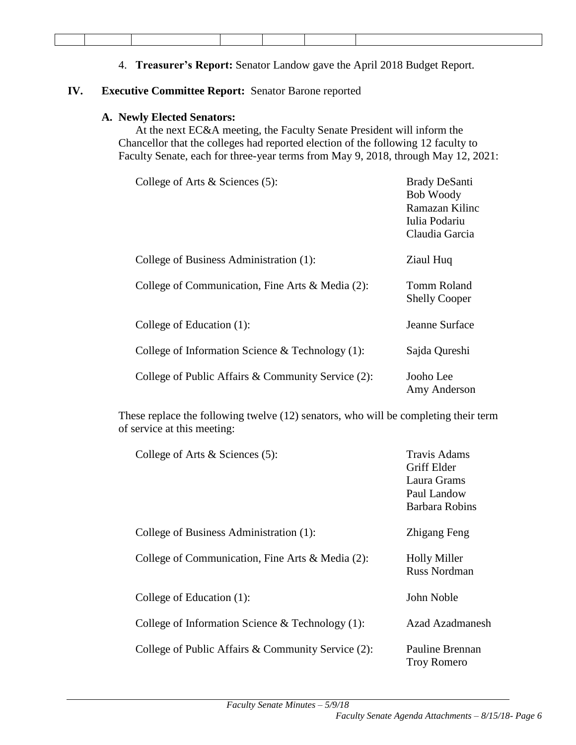4. **Treasurer's Report:** Senator Landow gave the April 2018 Budget Report.

#### **IV. Executive Committee Report:** Senator Barone reported

#### **A. Newly Elected Senators:**

At the next EC&A meeting, the Faculty Senate President will inform the Chancellor that the colleges had reported election of the following 12 faculty to Faculty Senate, each for three-year terms from May 9, 2018, through May 12, 2021:

| College of Arts $&$ Sciences (5):                   | <b>Brady DeSanti</b><br><b>Bob Woody</b><br>Ramazan Kilinc<br>Iulia Podariu<br>Claudia Garcia |
|-----------------------------------------------------|-----------------------------------------------------------------------------------------------|
| College of Business Administration (1):             | Ziaul Huq                                                                                     |
| College of Communication, Fine Arts & Media (2):    | Tomm Roland<br><b>Shelly Cooper</b>                                                           |
| College of Education (1):                           | Jeanne Surface                                                                                |
| College of Information Science & Technology $(1)$ : | Sajda Qureshi                                                                                 |
| College of Public Affairs & Community Service (2):  | Jooho Lee<br>Amy Anderson                                                                     |

These replace the following twelve (12) senators, who will be completing their term of service at this meeting:

| College of Arts $\&$ Sciences (5):                  | <b>Travis Adams</b><br><b>Griff Elder</b><br>Laura Grams<br>Paul Landow<br><b>Barbara Robins</b> |
|-----------------------------------------------------|--------------------------------------------------------------------------------------------------|
| College of Business Administration (1):             | Zhigang Feng                                                                                     |
| College of Communication, Fine Arts & Media (2):    | <b>Holly Miller</b><br><b>Russ Nordman</b>                                                       |
| College of Education (1):                           | John Noble                                                                                       |
| College of Information Science & Technology $(1)$ : | Azad Azadmanesh                                                                                  |
| College of Public Affairs & Community Service (2):  | <b>Pauline Brennan</b><br><b>Troy Romero</b>                                                     |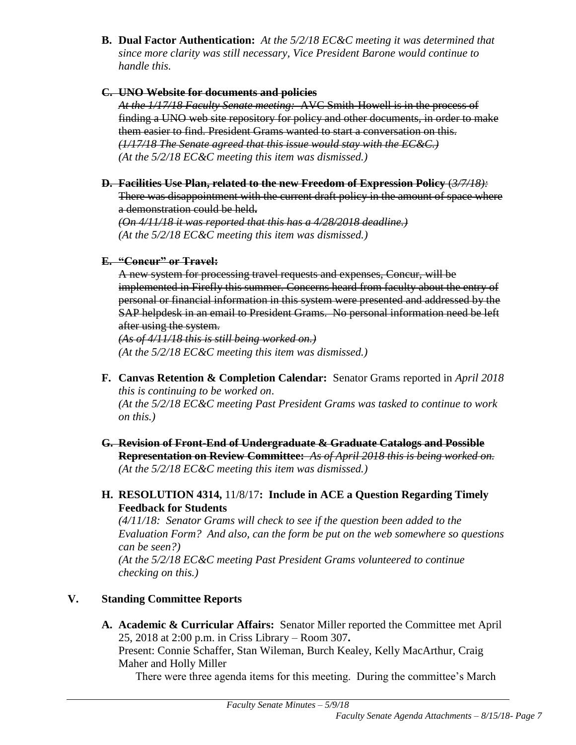**B. Dual Factor Authentication:** *At the 5/2/18 EC&C meeting it was determined that since more clarity was still necessary, Vice President Barone would continue to handle this.*

#### **C. UNO Website for documents and policies**

*At the 1/17/18 Faculty Senate meeting:* AVC Smith-Howell is in the process of finding a UNO web site repository for policy and other documents, in order to make them easier to find. President Grams wanted to start a conversation on this. *(1/17/18 The Senate agreed that this issue would stay with the EC&C.) (At the 5/2/18 EC&C meeting this item was dismissed.)*

**D. Facilities Use Plan, related to the new Freedom of Expression Policy** (*3/7/18):*

There was disappointment with the current draft policy in the amount of space where a demonstration could be held**.** 

*(On 4/11/18 it was reported that this has a 4/28/2018 deadline.) (At the 5/2/18 EC&C meeting this item was dismissed.)*

# **E. "Concur" or Travel:**

A new system for processing travel requests and expenses, Concur, will be implemented in Firefly this summer. Concerns heard from faculty about the entry of personal or financial information in this system were presented and addressed by the SAP helpdesk in an email to President Grams. No personal information need be left after using the system.

*(As of 4/11/18 this is still being worked on.) (At the 5/2/18 EC&C meeting this item was dismissed.)*

- **F. Canvas Retention & Completion Calendar:** Senator Grams reported in *April 2018 this is continuing to be worked on*. *(At the 5/2/18 EC&C meeting Past President Grams was tasked to continue to work on this.)*
- **G. Revision of Front-End of Undergraduate & Graduate Catalogs and Possible Representation on Review Committee:** *As of April 2018 this is being worked on.* *(At the 5/2/18 EC&C meeting this item was dismissed.)*

# **H. RESOLUTION 4314,** 11/8/17**: Include in ACE a Question Regarding Timely Feedback for Students**

*(4/11/18: Senator Grams will check to see if the question been added to the Evaluation Form? And also, can the form be put on the web somewhere so questions can be seen?) (At the 5/2/18 EC&C meeting Past President Grams volunteered to continue* 

*checking on this.)*

# **V. Standing Committee Reports**

**A. Academic & Curricular Affairs:** Senator Miller reported the Committee met April 25, 2018 at 2:00 p.m. in Criss Library – Room 307**.** Present: Connie Schaffer, Stan Wileman, Burch Kealey, Kelly MacArthur, Craig Maher and Holly Miller

There were three agenda items for this meeting. During the committee's March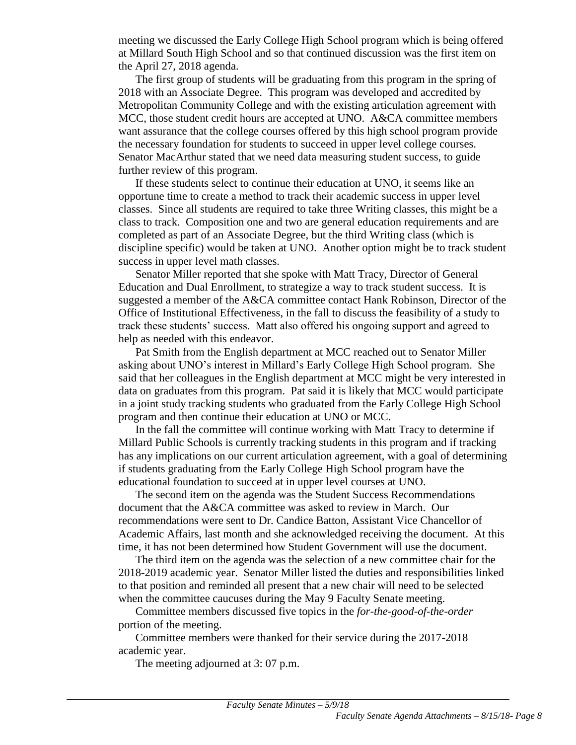meeting we discussed the Early College High School program which is being offered at Millard South High School and so that continued discussion was the first item on the April 27, 2018 agenda.

The first group of students will be graduating from this program in the spring of 2018 with an Associate Degree. This program was developed and accredited by Metropolitan Community College and with the existing articulation agreement with MCC, those student credit hours are accepted at UNO. A&CA committee members want assurance that the college courses offered by this high school program provide the necessary foundation for students to succeed in upper level college courses. Senator MacArthur stated that we need data measuring student success, to guide further review of this program.

If these students select to continue their education at UNO, it seems like an opportune time to create a method to track their academic success in upper level classes. Since all students are required to take three Writing classes, this might be a class to track. Composition one and two are general education requirements and are completed as part of an Associate Degree, but the third Writing class (which is discipline specific) would be taken at UNO. Another option might be to track student success in upper level math classes.

Senator Miller reported that she spoke with Matt Tracy, Director of General Education and Dual Enrollment, to strategize a way to track student success. It is suggested a member of the A&CA committee contact Hank Robinson, Director of the Office of Institutional Effectiveness, in the fall to discuss the feasibility of a study to track these students' success. Matt also offered his ongoing support and agreed to help as needed with this endeavor.

Pat Smith from the English department at MCC reached out to Senator Miller asking about UNO's interest in Millard's Early College High School program. She said that her colleagues in the English department at MCC might be very interested in data on graduates from this program. Pat said it is likely that MCC would participate in a joint study tracking students who graduated from the Early College High School program and then continue their education at UNO or MCC.

In the fall the committee will continue working with Matt Tracy to determine if Millard Public Schools is currently tracking students in this program and if tracking has any implications on our current articulation agreement, with a goal of determining if students graduating from the Early College High School program have the educational foundation to succeed at in upper level courses at UNO.

The second item on the agenda was the Student Success Recommendations document that the A&CA committee was asked to review in March. Our recommendations were sent to Dr. Candice Batton, Assistant Vice Chancellor of Academic Affairs, last month and she acknowledged receiving the document. At this time, it has not been determined how Student Government will use the document.

The third item on the agenda was the selection of a new committee chair for the 2018-2019 academic year. Senator Miller listed the duties and responsibilities linked to that position and reminded all present that a new chair will need to be selected when the committee caucuses during the May 9 Faculty Senate meeting.

Committee members discussed five topics in the *for-the-good-of-the-order* portion of the meeting.

Committee members were thanked for their service during the 2017-2018 academic year.

The meeting adjourned at 3: 07 p.m.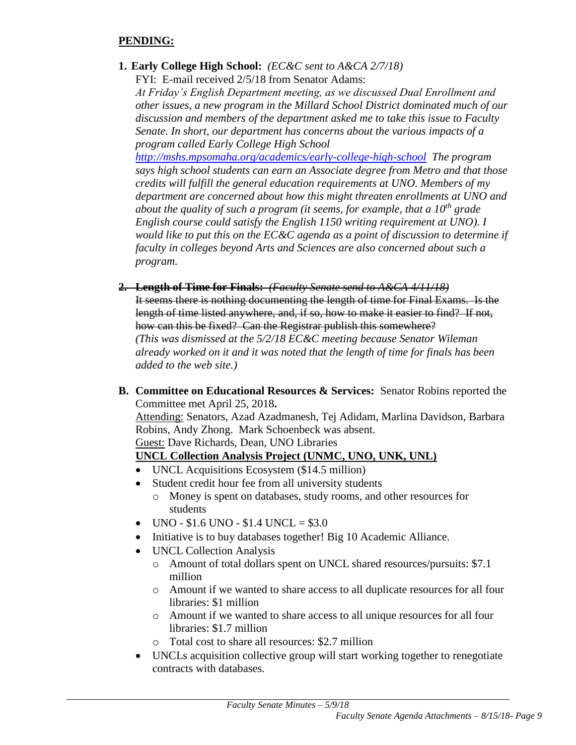# **PENDING:**

**1. Early College High School:** *(EC&C sent to A&CA 2/7/18)*

FYI: E-mail received 2/5/18 from Senator Adams:

*At Friday's English Department meeting, as we discussed Dual Enrollment and other issues, a new program in the Millard School District dominated much of our discussion and members of the department asked me to take this issue to Faculty Senate. In short, our department has concerns about the various impacts of a program called Early College High School* 

*<http://mshs.mpsomaha.org/academics/early-college-high-school> The program says high school students can earn an Associate degree from Metro and that those credits will fulfill the general education requirements at UNO. Members of my department are concerned about how this might threaten enrollments at UNO and about the quality of such a program (it seems, for example, that a 10th grade English course could satisfy the English 1150 writing requirement at UNO). I would like to put this on the EC&C agenda as a point of discussion to determine if faculty in colleges beyond Arts and Sciences are also concerned about such a program.*

- **2. Length of Time for Finals:** *(Faculty Senate send to A&CA 4/11/18)* It seems there is nothing documenting the length of time for Final Exams. Is the length of time listed anywhere, and, if so, how to make it easier to find? If not, how can this be fixed? Can the Registrar publish this somewhere? *(This was dismissed at the 5/2/18 EC&C meeting because Senator Wileman already worked on it and it was noted that the length of time for finals has been added to the web site.)*
- **B. Committee on Educational Resources & Services:** Senator Robins reported the Committee met April 25, 2018**.**

Attending: Senators, Azad Azadmanesh, Tej Adidam, Marlina Davidson, Barbara Robins, Andy Zhong. Mark Schoenbeck was absent.

Guest: Dave Richards, Dean, UNO Libraries

# **UNCL Collection Analysis Project (UNMC, UNO, UNK, UNL)**

- UNCL Acquisitions Ecosystem (\$14.5 million)
- Student credit hour fee from all university students o Money is spent on databases, study rooms, and other resources for students
- $\bullet$  UNO \$1.6 UNO \$1.4 UNCL = \$3.0
- Initiative is to buy databases together! Big 10 Academic Alliance.
- UNCL Collection Analysis
	- o Amount of total dollars spent on UNCL shared resources/pursuits: \$7.1 million
	- o Amount if we wanted to share access to all duplicate resources for all four libraries: \$1 million
	- o Amount if we wanted to share access to all unique resources for all four libraries: \$1.7 million
	- o Total cost to share all resources: \$2.7 million
- UNCLs acquisition collective group will start working together to renegotiate contracts with databases.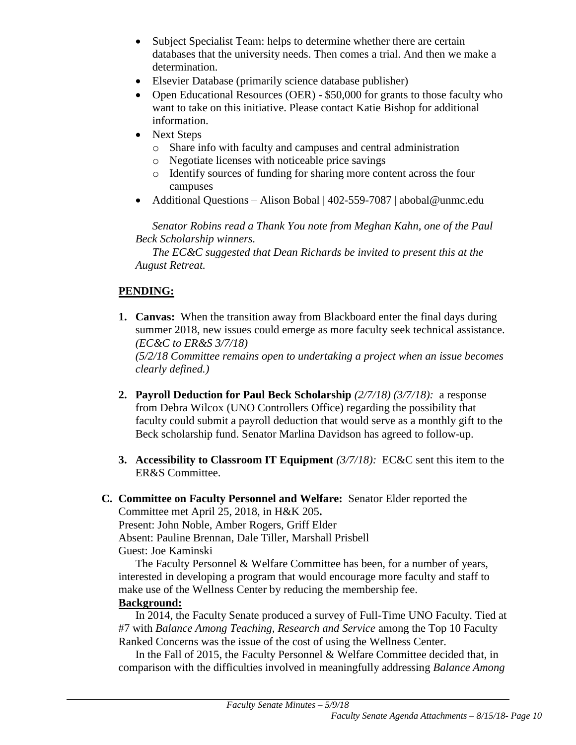- Subject Specialist Team: helps to determine whether there are certain databases that the university needs. Then comes a trial. And then we make a determination.
- Elsevier Database (primarily science database publisher)
- Open Educational Resources (OER) \$50,000 for grants to those faculty who want to take on this initiative. Please contact Katie Bishop for additional information.
- Next Steps
	- o Share info with faculty and campuses and central administration
	- o Negotiate licenses with noticeable price savings
	- o Identify sources of funding for sharing more content across the four campuses
- Additional Questions Alison Bobal | 402-559-7087 | abobal@unmc.edu

*Senator Robins read a Thank You note from Meghan Kahn, one of the Paul Beck Scholarship winners.*

*The EC&C suggested that Dean Richards be invited to present this at the August Retreat.*

# **PENDING:**

**1. Canvas:** When the transition away from Blackboard enter the final days during summer 2018, new issues could emerge as more faculty seek technical assistance. *(EC&C to ER&S 3/7/18)*

*(5/2/18 Committee remains open to undertaking a project when an issue becomes clearly defined.)*

- **2. Payroll Deduction for Paul Beck Scholarship** *(2/7/18) (3/7/18):* a response from Debra Wilcox (UNO Controllers Office) regarding the possibility that faculty could submit a payroll deduction that would serve as a monthly gift to the Beck scholarship fund. Senator Marlina Davidson has agreed to follow-up.
- **3. Accessibility to Classroom IT Equipment** *(3/7/18):* EC&C sent this item to the ER&S Committee.

**C. Committee on Faculty Personnel and Welfare:** Senator Elder reported the Committee met April 25, 2018, in H&K 205**.** Present: John Noble, Amber Rogers, Griff Elder Absent: Pauline Brennan, Dale Tiller, Marshall Prisbell Guest: Joe Kaminski

The Faculty Personnel & Welfare Committee has been, for a number of years, interested in developing a program that would encourage more faculty and staff to make use of the Wellness Center by reducing the membership fee.

# **Background:**

In 2014, the Faculty Senate produced a survey of Full-Time UNO Faculty. Tied at #7 with *Balance Among Teaching, Research and Service* among the Top 10 Faculty Ranked Concerns was the issue of the cost of using the Wellness Center.

In the Fall of 2015, the Faculty Personnel & Welfare Committee decided that, in comparison with the difficulties involved in meaningfully addressing *Balance Among*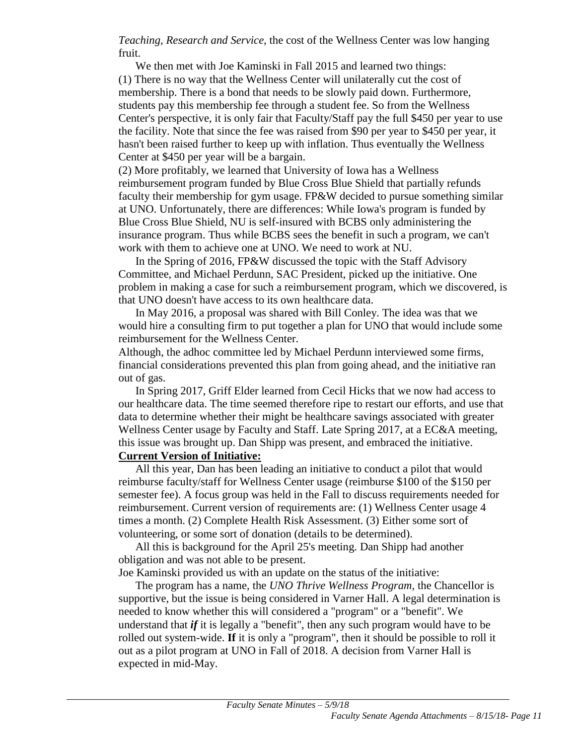*Teaching, Research and Service*, the cost of the Wellness Center was low hanging fruit.

We then met with Joe Kaminski in Fall 2015 and learned two things: (1) There is no way that the Wellness Center will unilaterally cut the cost of membership. There is a bond that needs to be slowly paid down. Furthermore, students pay this membership fee through a student fee. So from the Wellness Center's perspective, it is only fair that Faculty/Staff pay the full \$450 per year to use the facility. Note that since the fee was raised from \$90 per year to \$450 per year, it hasn't been raised further to keep up with inflation. Thus eventually the Wellness Center at \$450 per year will be a bargain.

(2) More profitably, we learned that University of Iowa has a Wellness reimbursement program funded by Blue Cross Blue Shield that partially refunds faculty their membership for gym usage. FP&W decided to pursue something similar at UNO. Unfortunately, there are differences: While Iowa's program is funded by Blue Cross Blue Shield, NU is self-insured with BCBS only administering the insurance program. Thus while BCBS sees the benefit in such a program, we can't work with them to achieve one at UNO. We need to work at NU.

In the Spring of 2016, FP&W discussed the topic with the Staff Advisory Committee, and Michael Perdunn, SAC President, picked up the initiative. One problem in making a case for such a reimbursement program, which we discovered, is that UNO doesn't have access to its own healthcare data.

In May 2016, a proposal was shared with Bill Conley. The idea was that we would hire a consulting firm to put together a plan for UNO that would include some reimbursement for the Wellness Center.

Although, the adhoc committee led by Michael Perdunn interviewed some firms, financial considerations prevented this plan from going ahead, and the initiative ran out of gas.

In Spring 2017, Griff Elder learned from Cecil Hicks that we now had access to our healthcare data. The time seemed therefore ripe to restart our efforts, and use that data to determine whether their might be healthcare savings associated with greater Wellness Center usage by Faculty and Staff. Late Spring 2017, at a EC&A meeting, this issue was brought up. Dan Shipp was present, and embraced the initiative.

#### **Current Version of Initiative:**

All this year, Dan has been leading an initiative to conduct a pilot that would reimburse faculty/staff for Wellness Center usage (reimburse \$100 of the \$150 per semester fee). A focus group was held in the Fall to discuss requirements needed for reimbursement. Current version of requirements are: (1) Wellness Center usage 4 times a month. (2) Complete Health Risk Assessment. (3) Either some sort of volunteering, or some sort of donation (details to be determined).

All this is background for the April 25's meeting. Dan Shipp had another obligation and was not able to be present.

Joe Kaminski provided us with an update on the status of the initiative:

The program has a name, the *UNO Thrive Wellness Program,* the Chancellor is supportive, but the issue is being considered in Varner Hall. A legal determination is needed to know whether this will considered a "program" or a "benefit". We understand that *if* it is legally a "benefit", then any such program would have to be rolled out system-wide. **If** it is only a "program", then it should be possible to roll it out as a pilot program at UNO in Fall of 2018. A decision from Varner Hall is expected in mid-May.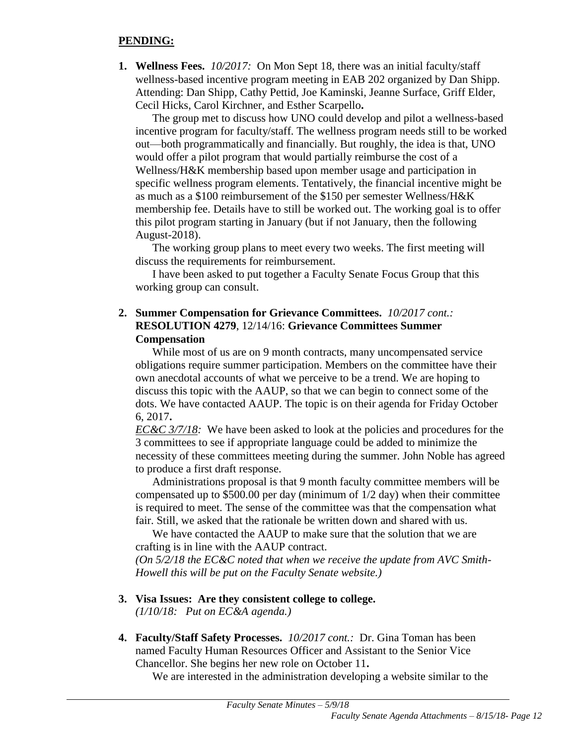#### **PENDING:**

**1. Wellness Fees.** *10/2017:*On Mon Sept 18, there was an initial faculty/staff wellness-based incentive program meeting in EAB 202 organized by Dan Shipp. Attending: Dan Shipp, Cathy Pettid, Joe Kaminski, Jeanne Surface, Griff Elder, Cecil Hicks, Carol Kirchner, and Esther Scarpello**.**

The group met to discuss how UNO could develop and pilot a wellness-based incentive program for faculty/staff. The wellness program needs still to be worked out—both programmatically and financially. But roughly, the idea is that, UNO would offer a pilot program that would partially reimburse the cost of a Wellness/H&K membership based upon member usage and participation in specific wellness program elements. Tentatively, the financial incentive might be as much as a \$100 reimbursement of the \$150 per semester Wellness/H&K membership fee. Details have to still be worked out. The working goal is to offer this pilot program starting in January (but if not January, then the following August-2018).

The working group plans to meet every two weeks. The first meeting will discuss the requirements for reimbursement.

I have been asked to put together a Faculty Senate Focus Group that this working group can consult.

# **2. Summer Compensation for Grievance Committees.** *10/2017 cont.:* **RESOLUTION 4279**, 12/14/16: **Grievance Committees Summer Compensation**

While most of us are on 9 month contracts, many uncompensated service obligations require summer participation. Members on the committee have their own anecdotal accounts of what we perceive to be a trend. We are hoping to discuss this topic with the AAUP, so that we can begin to connect some of the dots. We have contacted AAUP. The topic is on their agenda for Friday October 6, 2017**.**

*EC&C 3/7/18:* We have been asked to look at the policies and procedures for the 3 committees to see if appropriate language could be added to minimize the necessity of these committees meeting during the summer. John Noble has agreed to produce a first draft response.

Administrations proposal is that 9 month faculty committee members will be compensated up to \$500.00 per day (minimum of 1/2 day) when their committee is required to meet. The sense of the committee was that the compensation what fair. Still, we asked that the rationale be written down and shared with us.

We have contacted the AAUP to make sure that the solution that we are crafting is in line with the AAUP contract.

*(On 5/2/18 the EC&C noted that when we receive the update from AVC Smith-Howell this will be put on the Faculty Senate website.)*

#### **3. Visa Issues: Are they consistent college to college.**

*(1/10/18: Put on EC&A agenda.)*

**4. Faculty/Staff Safety Processes.** *10/2017 cont.:* Dr. Gina Toman has been named Faculty Human Resources Officer and Assistant to the Senior Vice Chancellor. She begins her new role on October 11**.**

We are interested in the administration developing a website similar to the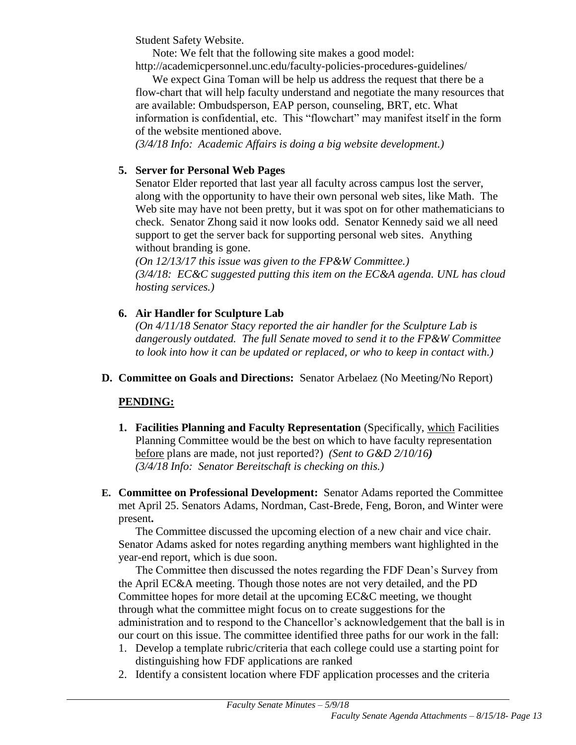Student Safety Website.

Note: We felt that the following site makes a good model: http://academicpersonnel.unc.edu/faculty-policies-procedures-guidelines/

We expect Gina Toman will be help us address the request that there be a flow-chart that will help faculty understand and negotiate the many resources that are available: Ombudsperson, EAP person, counseling, BRT, etc. What information is confidential, etc. This "flowchart" may manifest itself in the form of the website mentioned above.

*(3/4/18 Info: Academic Affairs is doing a big website development.)*

# **5. Server for Personal Web Pages**

Senator Elder reported that last year all faculty across campus lost the server, along with the opportunity to have their own personal web sites, like Math. The Web site may have not been pretty, but it was spot on for other mathematicians to check. Senator Zhong said it now looks odd. Senator Kennedy said we all need support to get the server back for supporting personal web sites. Anything without branding is gone.

*(On 12/13/17 this issue was given to the FP&W Committee.) (3/4/18: EC&C suggested putting this item on the EC&A agenda. UNL has cloud hosting services.)*

# **6. Air Handler for Sculpture Lab**

*(On 4/11/18 Senator Stacy reported the air handler for the Sculpture Lab is dangerously outdated. The full Senate moved to send it to the FP&W Committee to look into how it can be updated or replaced, or who to keep in contact with.)*

**D. Committee on Goals and Directions:** Senator Arbelaez (No Meeting/No Report)

# **PENDING:**

- **1. Facilities Planning and Faculty Representation** (Specifically, which Facilities Planning Committee would be the best on which to have faculty representation before plans are made, not just reported?) *(Sent to G&D 2/10/16) (3/4/18 Info: Senator Bereitschaft is checking on this.)*
- **E. Committee on Professional Development:** Senator Adams reported the Committee met April 25. Senators Adams, Nordman, Cast-Brede, Feng, Boron, and Winter were present**.**

The Committee discussed the upcoming election of a new chair and vice chair. Senator Adams asked for notes regarding anything members want highlighted in the year-end report, which is due soon.

The Committee then discussed the notes regarding the FDF Dean's Survey from the April EC&A meeting. Though those notes are not very detailed, and the PD Committee hopes for more detail at the upcoming EC&C meeting, we thought through what the committee might focus on to create suggestions for the administration and to respond to the Chancellor's acknowledgement that the ball is in our court on this issue. The committee identified three paths for our work in the fall:

- 1. Develop a template rubric/criteria that each college could use a starting point for distinguishing how FDF applications are ranked
- 2. Identify a consistent location where FDF application processes and the criteria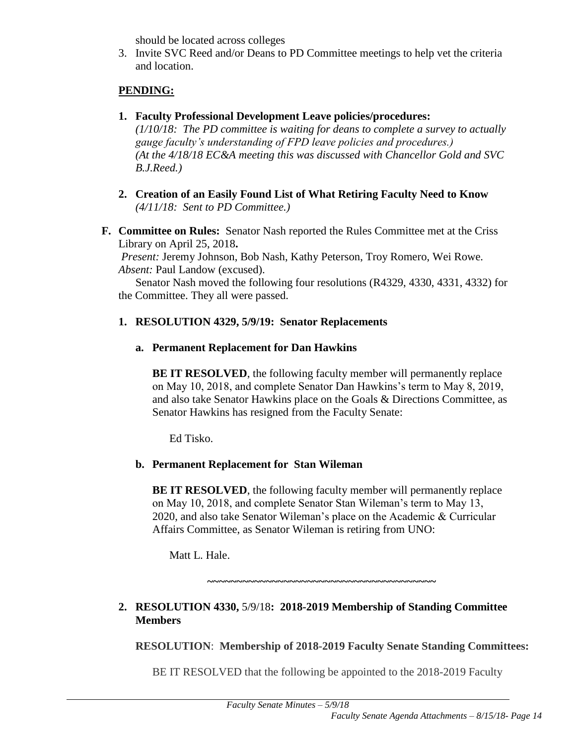should be located across colleges

3. Invite SVC Reed and/or Deans to PD Committee meetings to help vet the criteria and location.

# **PENDING:**

**1. Faculty Professional Development Leave policies/procedures:** 

*(1/10/18: The PD committee is waiting for deans to complete a survey to actually gauge faculty's understanding of FPD leave policies and procedures.) (At the 4/18/18 EC&A meeting this was discussed with Chancellor Gold and SVC B.J.Reed.)*

- **2. Creation of an Easily Found List of What Retiring Faculty Need to Know** *(4/11/18: Sent to PD Committee.)*
- **F. Committee on Rules:** Senator Nash reported the Rules Committee met at the Criss Library on April 25, 2018**.**

*Present:* Jeremy Johnson, Bob Nash, Kathy Peterson, Troy Romero, Wei Rowe. *Absent:* Paul Landow (excused).

Senator Nash moved the following four resolutions (R4329, 4330, 4331, 4332) for the Committee. They all were passed.

# **1. RESOLUTION 4329, 5/9/19: Senator Replacements**

**a. Permanent Replacement for Dan Hawkins**

**BE IT RESOLVED**, the following faculty member will permanently replace on May 10, 2018, and complete Senator Dan Hawkins's term to May 8, 2019, and also take Senator Hawkins place on the Goals & Directions Committee, as Senator Hawkins has resigned from the Faculty Senate:

Ed Tisko.

# **b. Permanent Replacement for Stan Wileman**

**BE IT RESOLVED**, the following faculty member will permanently replace on May 10, 2018, and complete Senator Stan Wileman's term to May 13, 2020, and also take Senator Wileman's place on the Academic & Curricular Affairs Committee, as Senator Wileman is retiring from UNO:

Matt L. Hale.

**~~~~~~~~~~~~~~~~~~~~~~~~~~~~~~~~~~~~~~~**

# **2. RESOLUTION 4330,** 5/9/18**: 2018-2019 Membership of Standing Committee Members**

**RESOLUTION**: **Membership of 2018-2019 Faculty Senate Standing Committees:**

BE IT RESOLVED that the following be appointed to the 2018-2019 Faculty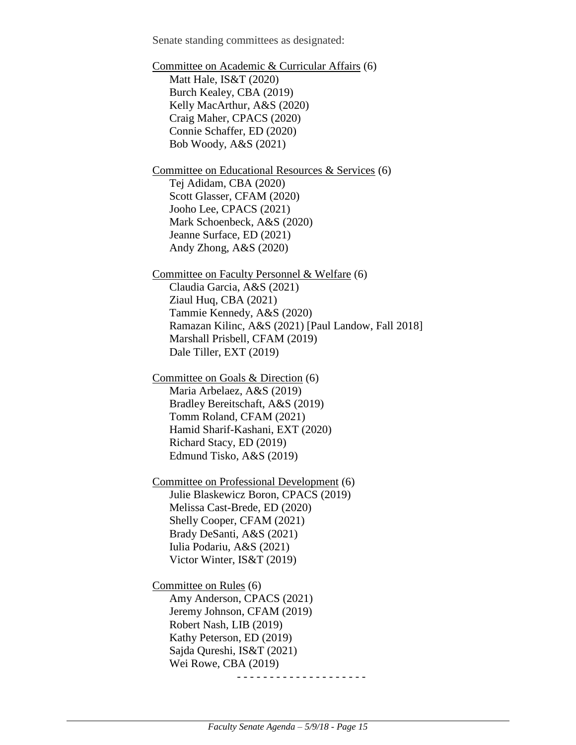Senate standing committees as designated:

Committee on Academic & Curricular Affairs (6) Matt Hale, IS&T (2020) Burch Kealey, CBA (2019) Kelly MacArthur, A&S (2020) Craig Maher, CPACS (2020) Connie Schaffer, ED (2020) Bob Woody, A&S (2021) Committee on Educational Resources & Services (6) Tej Adidam, CBA (2020) Scott Glasser, CFAM (2020) Jooho Lee, CPACS (2021) Mark Schoenbeck, A&S (2020) Jeanne Surface, ED (2021) Andy Zhong, A&S (2020) Committee on Faculty Personnel & Welfare (6) Claudia Garcia, A&S (2021) Ziaul Huq, CBA (2021) Tammie Kennedy, A&S (2020) Ramazan Kilinc, A&S (2021) [Paul Landow, Fall 2018] Marshall Prisbell, CFAM (2019) Dale Tiller, EXT (2019) Committee on Goals & Direction (6) Maria Arbelaez, A&S (2019) Bradley Bereitschaft, A&S (2019) Tomm Roland, CFAM (2021) Hamid Sharif-Kashani, EXT (2020) Richard Stacy, ED (2019) Edmund Tisko, A&S (2019) Committee on Professional Development (6) Julie Blaskewicz Boron, CPACS (2019) Melissa Cast-Brede, ED (2020) Shelly Cooper, CFAM (2021) Brady DeSanti, A&S (2021) Iulia Podariu, A&S (2021) Victor Winter, IS&T (2019) Committee on Rules (6) Amy Anderson, CPACS (2021) Jeremy Johnson, CFAM (2019) Robert Nash, LIB (2019) Kathy Peterson, ED (2019) Sajda Qureshi, IS&T (2021) Wei Rowe, CBA (2019)

- - - - - - - - - - - - - - - - - - - -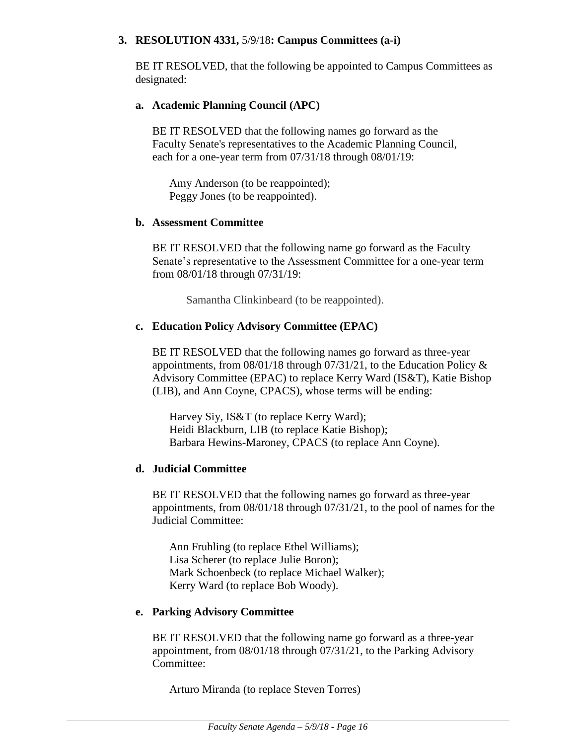#### **3. RESOLUTION 4331,** 5/9/18**: Campus Committees (a-i)**

BE IT RESOLVED, that the following be appointed to Campus Committees as designated:

#### **a. Academic Planning Council (APC)**

BE IT RESOLVED that the following names go forward as the Faculty Senate's representatives to the Academic Planning Council, each for a one-year term from 07/31/18 through 08/01/19:

Amy Anderson (to be reappointed); Peggy Jones (to be reappointed).

#### **b. Assessment Committee**

BE IT RESOLVED that the following name go forward as the Faculty Senate's representative to the Assessment Committee for a one-year term from 08/01/18 through 07/31/19:

Samantha Clinkinbeard (to be reappointed).

# **c. Education Policy Advisory Committee (EPAC)**

BE IT RESOLVED that the following names go forward as three-year appointments, from  $08/01/18$  through  $07/31/21$ , to the Education Policy & Advisory Committee (EPAC) to replace Kerry Ward (IS&T), Katie Bishop (LIB), and Ann Coyne, CPACS), whose terms will be ending:

Harvey Siy, IS&T (to replace Kerry Ward); Heidi Blackburn, LIB (to replace Katie Bishop); Barbara Hewins-Maroney, CPACS (to replace Ann Coyne).

#### **d. Judicial Committee**

BE IT RESOLVED that the following names go forward as three-year appointments, from 08/01/18 through 07/31/21, to the pool of names for the Judicial Committee:

Ann Fruhling (to replace Ethel Williams); Lisa Scherer (to replace Julie Boron); Mark Schoenbeck (to replace Michael Walker); Kerry Ward (to replace Bob Woody).

#### **e. Parking Advisory Committee**

BE IT RESOLVED that the following name go forward as a three-year appointment, from 08/01/18 through 07/31/21, to the Parking Advisory Committee:

Arturo Miranda (to replace Steven Torres)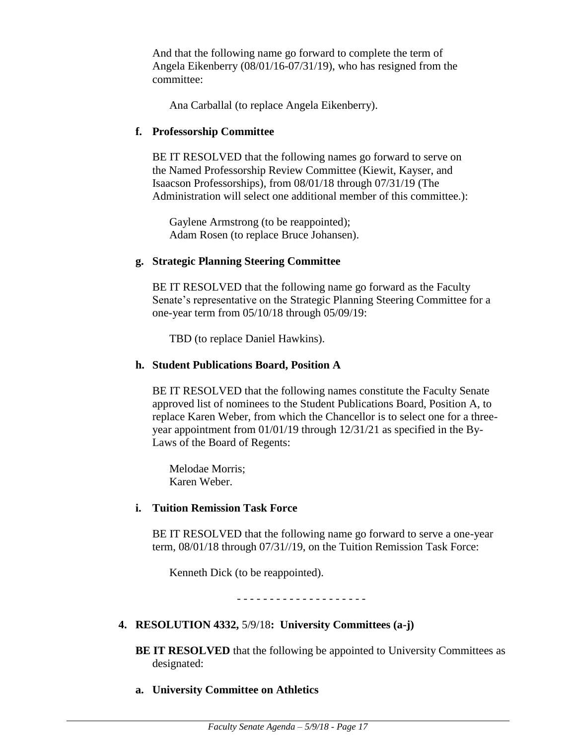And that the following name go forward to complete the term of Angela Eikenberry (08/01/16-07/31/19), who has resigned from the committee:

Ana Carballal (to replace Angela Eikenberry).

#### **f. Professorship Committee**

BE IT RESOLVED that the following names go forward to serve on the Named Professorship Review Committee (Kiewit, Kayser, and Isaacson Professorships), from 08/01/18 through 07/31/19 (The Administration will select one additional member of this committee.):

Gaylene Armstrong (to be reappointed); Adam Rosen (to replace Bruce Johansen).

#### **g. Strategic Planning Steering Committee**

BE IT RESOLVED that the following name go forward as the Faculty Senate's representative on the Strategic Planning Steering Committee for a one-year term from 05/10/18 through 05/09/19:

TBD (to replace Daniel Hawkins).

#### **h. Student Publications Board, Position A**

BE IT RESOLVED that the following names constitute the Faculty Senate approved list of nominees to the Student Publications Board, Position A, to replace Karen Weber, from which the Chancellor is to select one for a threeyear appointment from 01/01/19 through 12/31/21 as specified in the By-Laws of the Board of Regents:

Melodae Morris; Karen Weber.

#### **i. Tuition Remission Task Force**

BE IT RESOLVED that the following name go forward to serve a one-year term, 08/01/18 through 07/31//19, on the Tuition Remission Task Force:

Kenneth Dick (to be reappointed).

- - - - - - - - - - - - - - - - - - - -

#### **4. RESOLUTION 4332,** 5/9/18**: University Committees (a-j)**

**BE IT RESOLVED** that the following be appointed to University Committees as designated:

#### **a. University Committee on Athletics**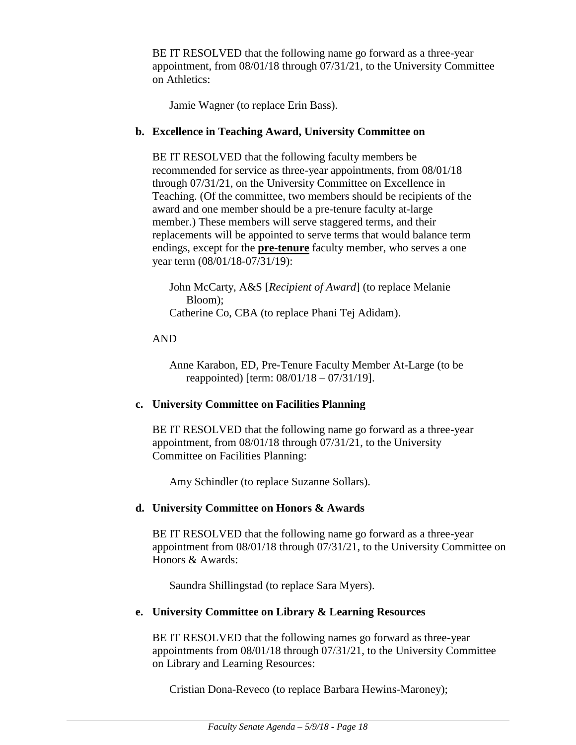BE IT RESOLVED that the following name go forward as a three-year appointment, from 08/01/18 through 07/31/21, to the University Committee on Athletics:

Jamie Wagner (to replace Erin Bass).

#### **b. Excellence in Teaching Award, University Committee on**

BE IT RESOLVED that the following faculty members be recommended for service as three-year appointments, from 08/01/18 through 07/31/21, on the University Committee on Excellence in Teaching. (Of the committee, two members should be recipients of the award and one member should be a pre-tenure faculty at-large member.) These members will serve staggered terms, and their replacements will be appointed to serve terms that would balance term endings, except for the **pre-tenure** faculty member, who serves a one year term (08/01/18-07/31/19):

John McCarty, A&S [*Recipient of Award*] (to replace Melanie Bloom); Catherine Co, CBA (to replace Phani Tej Adidam).

# AND

Anne Karabon, ED, Pre-Tenure Faculty Member At-Large (to be reappointed) [term: 08/01/18 – 07/31/19].

# **c. University Committee on Facilities Planning**

BE IT RESOLVED that the following name go forward as a three-year appointment, from 08/01/18 through 07/31/21, to the University Committee on Facilities Planning:

Amy Schindler (to replace Suzanne Sollars).

# **d. University Committee on Honors & Awards**

BE IT RESOLVED that the following name go forward as a three-year appointment from 08/01/18 through 07/31/21, to the University Committee on Honors & Awards:

Saundra Shillingstad (to replace Sara Myers).

# **e. University Committee on Library & Learning Resources**

BE IT RESOLVED that the following names go forward as three-year appointments from 08/01/18 through 07/31/21, to the University Committee on Library and Learning Resources:

Cristian Dona-Reveco (to replace Barbara Hewins-Maroney);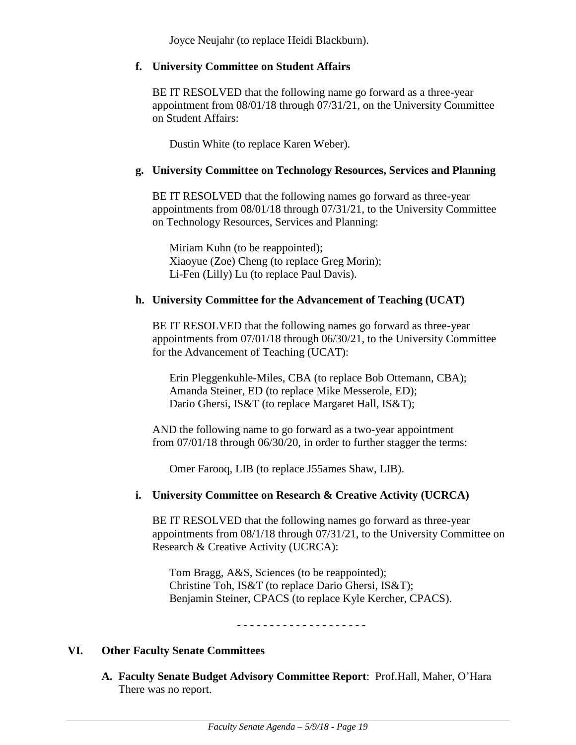Joyce Neujahr (to replace Heidi Blackburn).

#### **f. University Committee on Student Affairs**

BE IT RESOLVED that the following name go forward as a three-year appointment from 08/01/18 through 07/31/21, on the University Committee on Student Affairs:

Dustin White (to replace Karen Weber).

# **g. University Committee on Technology Resources, Services and Planning**

BE IT RESOLVED that the following names go forward as three-year appointments from 08/01/18 through 07/31/21, to the University Committee on Technology Resources, Services and Planning:

Miriam Kuhn (to be reappointed); Xiaoyue (Zoe) Cheng (to replace Greg Morin); Li-Fen (Lilly) Lu (to replace Paul Davis).

# **h. University Committee for the Advancement of Teaching (UCAT)**

BE IT RESOLVED that the following names go forward as three-year appointments from 07/01/18 through 06/30/21, to the University Committee for the Advancement of Teaching (UCAT):

Erin Pleggenkuhle-Miles, CBA (to replace Bob Ottemann, CBA); Amanda Steiner, ED (to replace Mike Messerole, ED); Dario Ghersi, IS&T (to replace Margaret Hall, IS&T);

AND the following name to go forward as a two-year appointment from 07/01/18 through 06/30/20, in order to further stagger the terms:

Omer Farooq, LIB (to replace J55ames Shaw, LIB).

# **i. University Committee on Research & Creative Activity (UCRCA)**

BE IT RESOLVED that the following names go forward as three-year appointments from 08/1/18 through 07/31/21, to the University Committee on Research & Creative Activity (UCRCA):

Tom Bragg, A&S, Sciences (to be reappointed); Christine Toh, IS&T (to replace Dario Ghersi, IS&T); Benjamin Steiner, CPACS (to replace Kyle Kercher, CPACS).

- - - - - - - - - - - - - - - - - - - -

# **VI. Other Faculty Senate Committees**

**A. Faculty Senate Budget Advisory Committee Report**: Prof.Hall, Maher, O'Hara There was no report.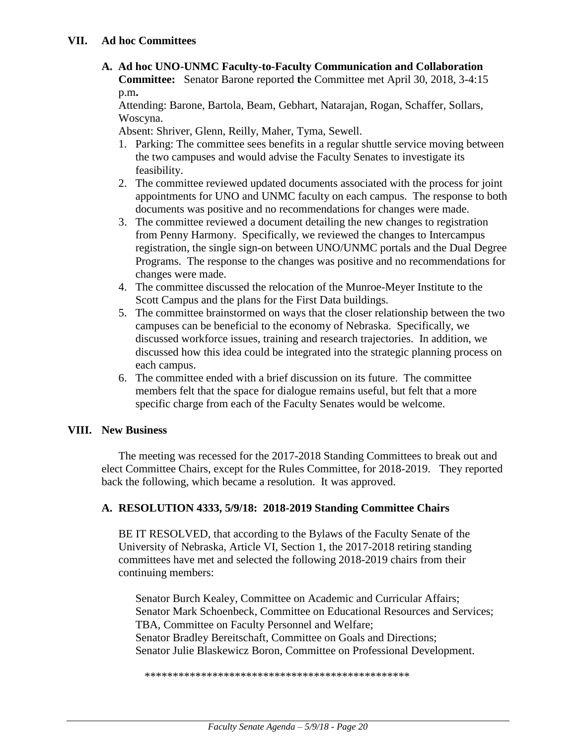**A. Ad hoc UNO-UNMC Faculty-to-Faculty Communication and Collaboration Committee:** Senator Barone reported **t**he Committee met April 30, 2018, 3-4:15 p.m**.**

Attending: Barone, Bartola, Beam, Gebhart, Natarajan, Rogan, Schaffer, Sollars, Woscyna.

Absent: Shriver, Glenn, Reilly, Maher, Tyma, Sewell.

- 1. Parking: The committee sees benefits in a regular shuttle service moving between the two campuses and would advise the Faculty Senates to investigate its feasibility.
- 2. The committee reviewed updated documents associated with the process for joint appointments for UNO and UNMC faculty on each campus. The response to both documents was positive and no recommendations for changes were made.
- 3. The committee reviewed a document detailing the new changes to registration from Penny Harmony. Specifically, we reviewed the changes to Intercampus registration, the single sign-on between UNO/UNMC portals and the Dual Degree Programs. The response to the changes was positive and no recommendations for changes were made.
- 4. The committee discussed the relocation of the Munroe-Meyer Institute to the Scott Campus and the plans for the First Data buildings.
- 5. The committee brainstormed on ways that the closer relationship between the two campuses can be beneficial to the economy of Nebraska. Specifically, we discussed workforce issues, training and research trajectories. In addition, we discussed how this idea could be integrated into the strategic planning process on each campus.
- 6. The committee ended with a brief discussion on its future. The committee members felt that the space for dialogue remains useful, but felt that a more specific charge from each of the Faculty Senates would be welcome.

# **VIII. New Business**

The meeting was recessed for the 2017-2018 Standing Committees to break out and elect Committee Chairs, except for the Rules Committee, for 2018-2019. They reported back the following, which became a resolution. It was approved.

# **A. RESOLUTION 4333, 5/9/18: 2018-2019 Standing Committee Chairs**

BE IT RESOLVED, that according to the Bylaws of the Faculty Senate of the University of Nebraska, Article VI, Section 1, the 2017-2018 retiring standing committees have met and selected the following 2018-2019 chairs from their continuing members:

Senator Burch Kealey, Committee on Academic and Curricular Affairs; Senator Mark Schoenbeck, Committee on Educational Resources and Services; TBA, Committee on Faculty Personnel and Welfare; Senator Bradley Bereitschaft, Committee on Goals and Directions; Senator Julie Blaskewicz Boron, Committee on Professional Development.

\*\*\*\*\*\*\*\*\*\*\*\*\*\*\*\*\*\*\*\*\*\*\*\*\*\*\*\*\*\*\*\*\*\*\*\*\*\*\*\*\*\*\*\*\*\*\*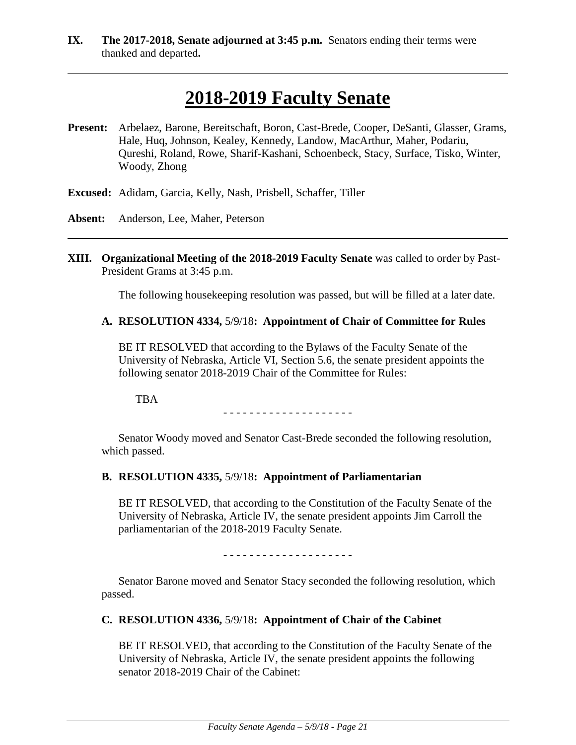**IX. The 2017-2018, Senate adjourned at 3:45 p.m.** Senators ending their terms were thanked and departed**.**

# **2018-2019 Faculty Senate**

- **Present:** Arbelaez, Barone, Bereitschaft, Boron, Cast-Brede, Cooper, DeSanti, Glasser, Grams, Hale, Huq, Johnson, Kealey, Kennedy, Landow, MacArthur, Maher, Podariu, Qureshi, Roland, Rowe, Sharif-Kashani, Schoenbeck, Stacy, Surface, Tisko, Winter, Woody, Zhong
- **Excused:** Adidam, Garcia, Kelly, Nash, Prisbell, Schaffer, Tiller
- **Absent:** Anderson, Lee, Maher, Peterson
- **XIII. Organizational Meeting of the 2018-2019 Faculty Senate** was called to order by Past-President Grams at 3:45 p.m.

The following housekeeping resolution was passed, but will be filled at a later date.

#### **A. RESOLUTION 4334,** 5/9/18**: Appointment of Chair of Committee for Rules**

BE IT RESOLVED that according to the Bylaws of the Faculty Senate of the University of Nebraska, Article VI, Section 5.6, the senate president appoints the following senator 2018-2019 Chair of the Committee for Rules:

TBA

- - - - - - - - - - - - - - - - - - - -

Senator Woody moved and Senator Cast-Brede seconded the following resolution, which passed.

#### **B. RESOLUTION 4335,** 5/9/18**: Appointment of Parliamentarian**

BE IT RESOLVED, that according to the Constitution of the Faculty Senate of the University of Nebraska, Article IV, the senate president appoints Jim Carroll the parliamentarian of the 2018-2019 Faculty Senate.

- - - - - - - - - - - - - - - - - - - -

Senator Barone moved and Senator Stacy seconded the following resolution, which passed.

#### **C. RESOLUTION 4336,** 5/9/18**: Appointment of Chair of the Cabinet**

BE IT RESOLVED, that according to the Constitution of the Faculty Senate of the University of Nebraska, Article IV, the senate president appoints the following senator 2018-2019 Chair of the Cabinet: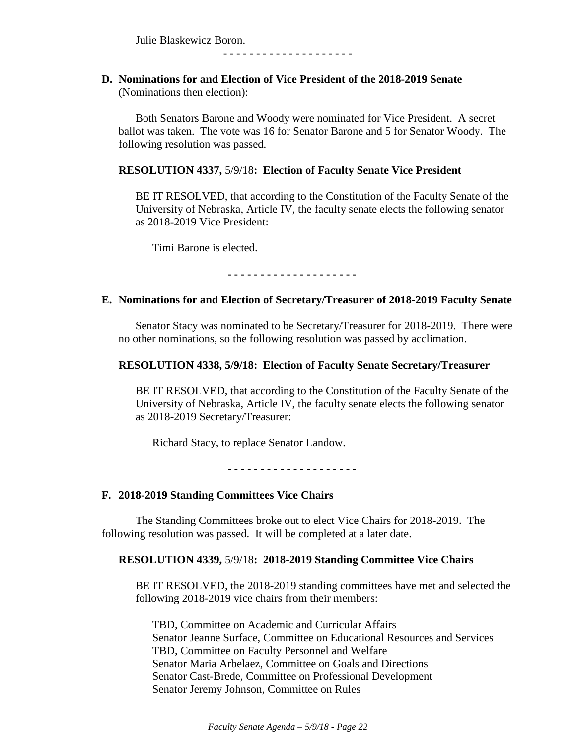Julie Blaskewicz Boron.

- - - - - - - - - - - - - - - - - - - -

#### **D. Nominations for and Election of Vice President of the 2018-2019 Senate**  (Nominations then election):

Both Senators Barone and Woody were nominated for Vice President. A secret ballot was taken. The vote was 16 for Senator Barone and 5 for Senator Woody. The following resolution was passed.

#### **RESOLUTION 4337,** 5/9/18**: Election of Faculty Senate Vice President**

BE IT RESOLVED, that according to the Constitution of the Faculty Senate of the University of Nebraska, Article IV, the faculty senate elects the following senator as 2018-2019 Vice President:

Timi Barone is elected.

**- - - - - - - - - - - - - - - - - - - -**

#### **E. Nominations for and Election of Secretary/Treasurer of 2018-2019 Faculty Senate**

Senator Stacy was nominated to be Secretary/Treasurer for 2018-2019. There were no other nominations, so the following resolution was passed by acclimation.

#### **RESOLUTION 4338, 5/9/18: Election of Faculty Senate Secretary/Treasurer**

BE IT RESOLVED, that according to the Constitution of the Faculty Senate of the University of Nebraska, Article IV, the faculty senate elects the following senator as 2018-2019 Secretary/Treasurer:

Richard Stacy, to replace Senator Landow.

- - - - - - - - - - - - - - - - - - - -

#### **F. 2018-2019 Standing Committees Vice Chairs**

The Standing Committees broke out to elect Vice Chairs for 2018-2019. The following resolution was passed. It will be completed at a later date.

#### **RESOLUTION 4339,** 5/9/18**: 2018-2019 Standing Committee Vice Chairs**

BE IT RESOLVED, the 2018-2019 standing committees have met and selected the following 2018-2019 vice chairs from their members:

TBD, Committee on Academic and Curricular Affairs Senator Jeanne Surface, Committee on Educational Resources and Services TBD, Committee on Faculty Personnel and Welfare Senator Maria Arbelaez, Committee on Goals and Directions Senator Cast-Brede, Committee on Professional Development Senator Jeremy Johnson, Committee on Rules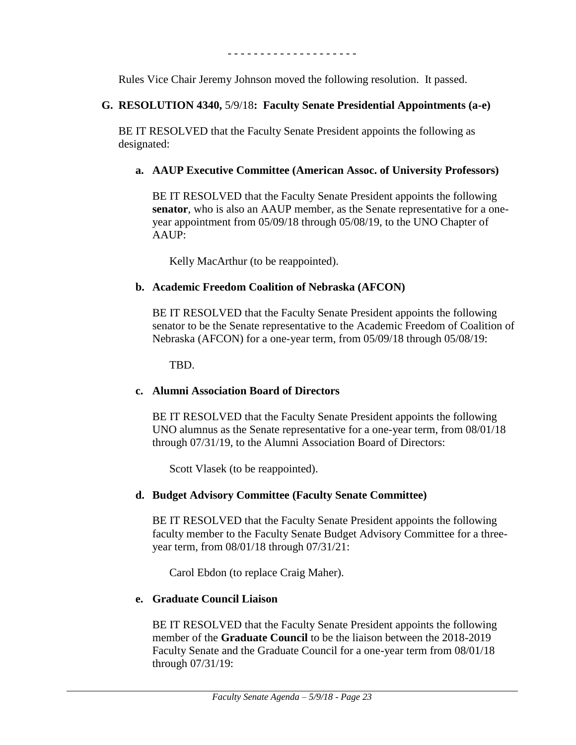- - - - - - - - - - - - - - - - - - - -

Rules Vice Chair Jeremy Johnson moved the following resolution. It passed.

# **G. RESOLUTION 4340,** 5/9/18**: Faculty Senate Presidential Appointments (a-e)**

BE IT RESOLVED that the Faculty Senate President appoints the following as designated:

# **a. AAUP Executive Committee (American Assoc. of University Professors)**

BE IT RESOLVED that the Faculty Senate President appoints the following **senator**, who is also an AAUP member, as the Senate representative for a oneyear appointment from 05/09/18 through 05/08/19, to the UNO Chapter of  $A AUP:$ 

Kelly MacArthur (to be reappointed).

# **b. Academic Freedom Coalition of Nebraska (AFCON)**

BE IT RESOLVED that the Faculty Senate President appoints the following senator to be the Senate representative to the Academic Freedom of Coalition of Nebraska (AFCON) for a one-year term, from 05/09/18 through 05/08/19:

TBD.

# **c. Alumni Association Board of Directors**

BE IT RESOLVED that the Faculty Senate President appoints the following UNO alumnus as the Senate representative for a one-year term, from 08/01/18 through 07/31/19, to the Alumni Association Board of Directors:

Scott Vlasek (to be reappointed).

# **d. Budget Advisory Committee (Faculty Senate Committee)**

BE IT RESOLVED that the Faculty Senate President appoints the following faculty member to the Faculty Senate Budget Advisory Committee for a threeyear term, from 08/01/18 through 07/31/21:

Carol Ebdon (to replace Craig Maher).

# **e. Graduate Council Liaison**

BE IT RESOLVED that the Faculty Senate President appoints the following member of the **Graduate Council** to be the liaison between the 2018-2019 Faculty Senate and the Graduate Council for a one-year term from 08/01/18 through 07/31/19: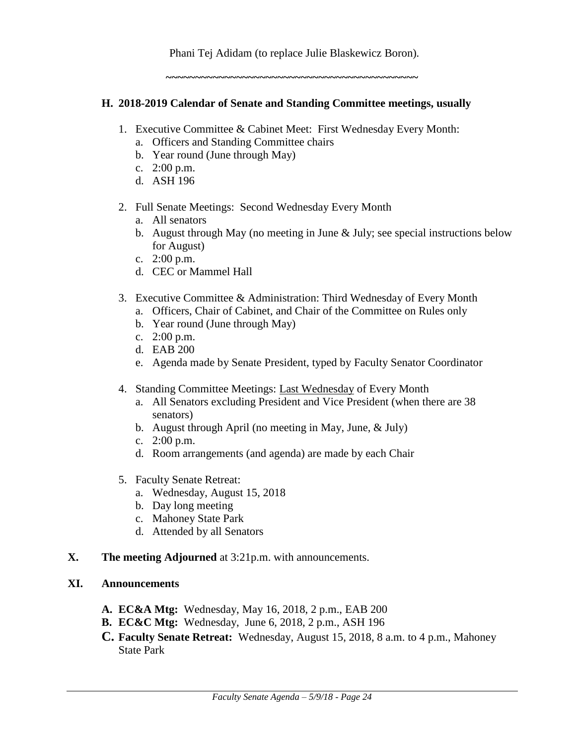Phani Tej Adidam (to replace Julie Blaskewicz Boron)*.* 

**~~~~~~~~~~~~~~~~~~~~~~~~~~~~~~~~~~~~~~~~~~~**

#### **H. 2018-2019 Calendar of Senate and Standing Committee meetings, usually**

- 1. Executive Committee & Cabinet Meet: First Wednesday Every Month:
	- a. Officers and Standing Committee chairs
	- b. Year round (June through May)
	- c. 2:00 p.m.
	- d. ASH 196
- 2. Full Senate Meetings: Second Wednesday Every Month
	- a. All senators
	- b. August through May (no meeting in June & July; see special instructions below for August)
	- c. 2:00 p.m.
	- d. CEC or Mammel Hall
- 3. Executive Committee & Administration: Third Wednesday of Every Month
	- a. Officers, Chair of Cabinet, and Chair of the Committee on Rules only
	- b. Year round (June through May)
	- c. 2:00 p.m.
	- d. EAB 200
	- e. Agenda made by Senate President, typed by Faculty Senator Coordinator
- 4. Standing Committee Meetings: Last Wednesday of Every Month
	- a. All Senators excluding President and Vice President (when there are 38 senators)
	- b. August through April (no meeting in May, June, & July)
	- c. 2:00 p.m.
	- d. Room arrangements (and agenda) are made by each Chair
- 5. Faculty Senate Retreat:
	- a. Wednesday, August 15, 2018
	- b. Day long meeting
	- c. Mahoney State Park
	- d. Attended by all Senators
- **X. The meeting Adjourned** at 3:21p.m. with announcements.

#### **XI. Announcements**

- **A. EC&A Mtg:** Wednesday, May 16, 2018, 2 p.m., EAB 200
- **B. EC&C Mtg:** Wednesday, June 6, 2018, 2 p.m., ASH 196
- **C. Faculty Senate Retreat:** Wednesday, August 15, 2018, 8 a.m. to 4 p.m., Mahoney State Park